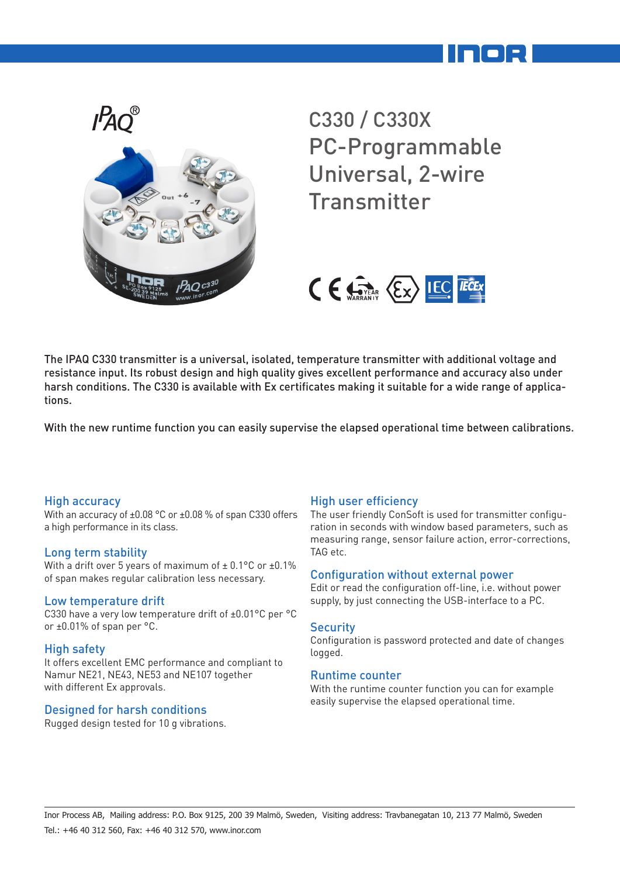



C330 / C330X PC-Programmable Universal, 2-wire **Transmitter** 



The IPAQ C330 transmitter is a universal, isolated, temperature transmitter with additional voltage and resistance input. Its robust design and high quality gives excellent performance and accuracy also under harsh conditions. The C330 is available with Ex certificates making it suitable for a wide range of applications.

With the new runtime function you can easily supervise the elapsed operational time between calibrations.

#### High accuracy

With an accuracy of ±0.08 °C or ±0.08 % of span C330 offers a high performance in its class.

#### Long term stability

With a drift over 5 years of maximum of  $\pm$  0.1°C or  $\pm$ 0.1% of span makes regular calibration less necessary.

#### Low temperature drift

C330 have a very low temperature drift of ±0.01°C per °C or ±0.01% of span per °C.

#### High safety

It offers excellent EMC performance and compliant to Namur NE21, NE43, NE53 and NE107 together with different Ex approvals.

#### Designed for harsh conditions

Rugged design tested for 10 g vibrations.

#### High user efficiency

The user friendly ConSoft is used for transmitter configuration in seconds with window based parameters, such as measuring range, sensor failure action, error-corrections, TAG etc.

#### Configuration without external power

Edit or read the configuration off-line, i.e. without power supply, by just connecting the USB-interface to a PC.

#### **Security**

Configuration is password protected and date of changes logged.

#### Runtime counter

With the runtime counter function you can for example easily supervise the elapsed operational time.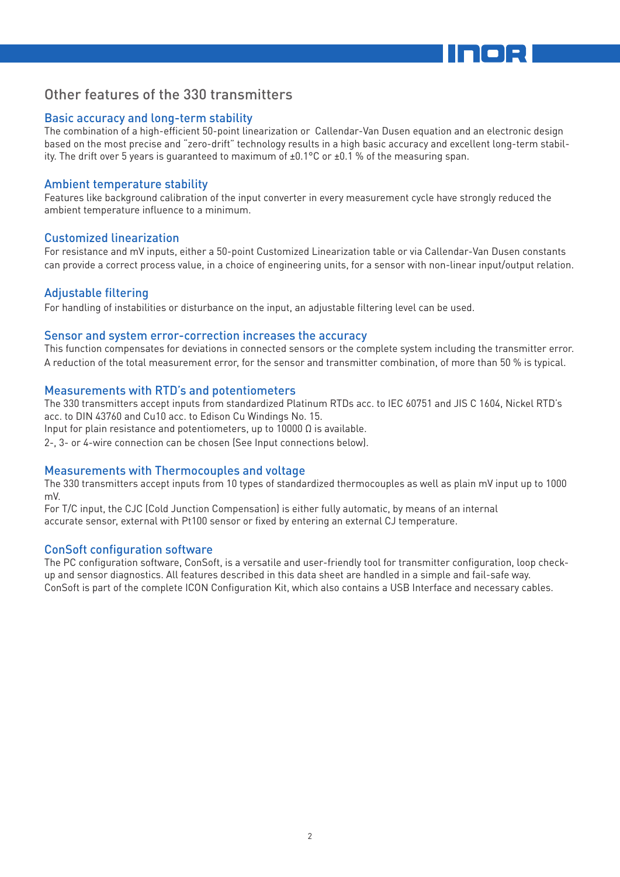### Other features of the 330 transmitters

#### Basic accuracy and long-term stability

The combination of a high-efficient 50-point linearization or Callendar-Van Dusen equation and an electronic design based on the most precise and "zero-drift" technology results in a high basic accuracy and excellent long-term stability. The drift over 5 years is guaranteed to maximum of ±0.1°C or ±0.1 % of the measuring span.

#### Ambient temperature stability

Features like background calibration of the input converter in every measurement cycle have strongly reduced the ambient temperature influence to a minimum.

#### Customized linearization

For resistance and mV inputs, either a 50-point Customized Linearization table or via Callendar-Van Dusen constants can provide a correct process value, in a choice of engineering units, for a sensor with non-linear input/output relation.

#### Adjustable filtering

For handling of instabilities or disturbance on the input, an adjustable filtering level can be used.

#### Sensor and system error-correction increases the accuracy

This function compensates for deviations in connected sensors or the complete system including the transmitter error. A reduction of the total measurement error, for the sensor and transmitter combination, of more than 50 % is typical.

#### Measurements with RTD's and potentiometers

The 330 transmitters accept inputs from standardized Platinum RTDs acc. to IEC 60751 and JIS C 1604, Nickel RTD's acc. to DIN 43760 and Cu10 acc. to Edison Cu Windings No. 15.

Input for plain resistance and potentiometers, up to 10000 Ω is available.

2-, 3- or 4-wire connection can be chosen (See Input connections below).

#### Measurements with Thermocouples and voltage

The 330 transmitters accept inputs from 10 types of standardized thermocouples as well as plain mV input up to 1000 mV.

For T/C input, the CJC (Cold Junction Compensation) is either fully automatic, by means of an internal accurate sensor, external with Pt100 sensor or fixed by entering an external CJ temperature.

#### ConSoft configuration software

The PC configuration software, ConSoft, is a versatile and user-friendly tool for transmitter configuration, loop checkup and sensor diagnostics. All features described in this data sheet are handled in a simple and fail-safe way. ConSoft is part of the complete ICON Configuration Kit, which also contains a USB Interface and necessary cables.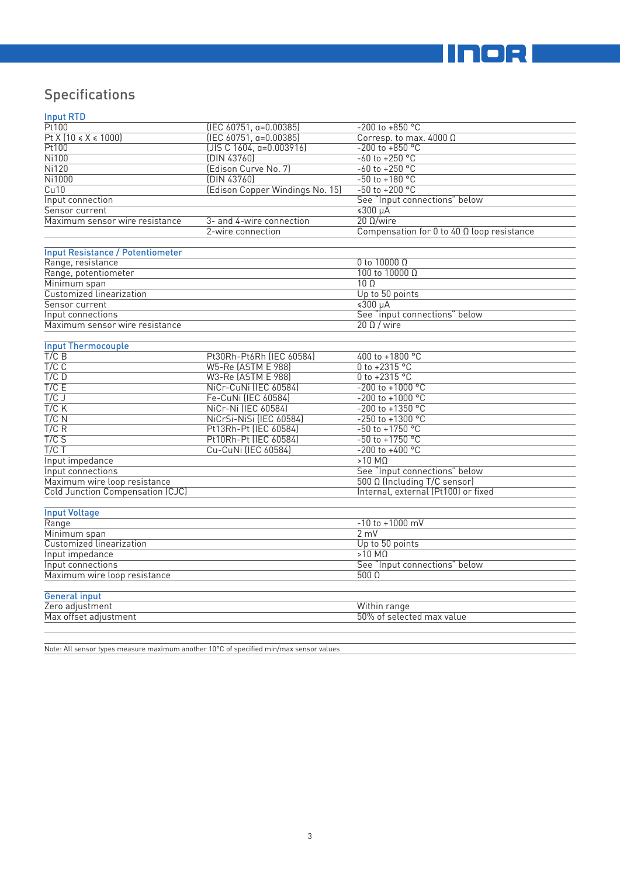

# Specifications

#### Input RTD

| Pt100                                   | $(IEC 60751, a=0.00385)$        | $-200$ to $+850$ °C                                   |  |
|-----------------------------------------|---------------------------------|-------------------------------------------------------|--|
| $Pt X [10 \le X \le 1000]$              | $(IEC 60751, a=0.00385)$        | Corresp. to max. $4000 \Omega$                        |  |
| Pt100                                   | $(JIS C 1604, a=0.003916)$      | $-200$ to $+850$ °C                                   |  |
| <b>Ni100</b>                            | (DIN 43760)                     | $-60$ to $+250$ °C                                    |  |
| <b>Ni120</b>                            | (Edison Curve No. 7)            | $-60$ to $+250$ °C                                    |  |
| Ni1000                                  | (DIN 43760)                     | $-50$ to $+180$ °C                                    |  |
| Cu10                                    | (Edison Copper Windings No. 15) | $-50$ to $+200$ °C                                    |  |
| Input connection                        |                                 | See "Input connections" below                         |  |
| Sensor current                          |                                 | $$300 \mu A$                                          |  |
| Maximum sensor wire resistance          | 3- and 4-wire connection        | $20 \Omega/\text{wire}$                               |  |
|                                         | 2-wire connection               | Compensation for $0$ to $40$ $\Omega$ loop resistance |  |
|                                         |                                 |                                                       |  |
| <b>Input Resistance / Potentiometer</b> |                                 |                                                       |  |
| Range, resistance                       |                                 | $0$ to 10000 $\Omega$                                 |  |
| Range, potentiometer                    |                                 | $100$ to $10000$ $\Omega$                             |  |
| Minimum span                            |                                 | 10 <sub>0</sub>                                       |  |
| Customized linearization                |                                 | Up to 50 points                                       |  |
| Sensor current                          |                                 | $\sqrt{$300 \mu A}$                                   |  |
| Input connections                       |                                 | See "input connections" below                         |  |
| Maximum sensor wire resistance          |                                 | $20 \Omega /$ wire                                    |  |
|                                         |                                 |                                                       |  |
| <b>Input Thermocouple</b>               |                                 |                                                       |  |
| $T/C$ B                                 | Pt30Rh-Pt6Rh (IEC 60584)        | 400 to +1800 °C                                       |  |
| $T/C$ $C$                               | <b>W5-Re (ASTM E 988)</b>       | $0$ to +2315 °C                                       |  |
| $T/C$ D                                 | W3-Re (ASTM E 988)              | $0$ to +2315 °C                                       |  |
| T/C E                                   | NiCr-CuNi (IEC 60584)           | $-200$ to $+1000$ °C                                  |  |
| T/CJ                                    | Fe-CuNi (IEC 60584)             | $-200$ to $+1000$ °C                                  |  |
| $T/C$ K                                 | NiCr-Ni (IEC 60584)             | $-200$ to $+1350$ °C                                  |  |
| $T/C$ N                                 | NiCrSi-NiSi (IEC 60584)         | $-250$ to $+1300$ °C                                  |  |
| T/C R                                   | Pt13Rh-Pt (IEC 60584)           | $-50$ to $+1750$ °C                                   |  |
| T/CS                                    | Pt10Rh-Pt (IEC 60584)           | $-50$ to $+1750$ °C                                   |  |
| T/CT                                    | Cu-CuNi (IEC 60584)             | $-200$ to $+400$ °C                                   |  |
| Input impedance                         |                                 | $>10$ M $\Omega$                                      |  |
| Input connections                       |                                 | See "Input connections" below                         |  |
| Maximum wire loop resistance            |                                 | 500 Ω (Including T/C sensor)                          |  |
| Cold Junction Compensation (CJC)        |                                 | Internal, external (Pt100) or fixed                   |  |
|                                         |                                 |                                                       |  |
| <b>Input Voltage</b>                    |                                 |                                                       |  |
| Range                                   |                                 | $-10$ to $+1000$ mV                                   |  |
| Minimum span                            |                                 | 2 mV                                                  |  |
| Customized linearization                |                                 | Up to 50 points                                       |  |
| Input impedance                         |                                 | $>10$ MO                                              |  |
| Input connections                       |                                 | See "Input connections" below                         |  |
| Maximum wire loop resistance            |                                 | 500 Q                                                 |  |
|                                         |                                 |                                                       |  |
| <b>General input</b>                    |                                 |                                                       |  |
| Zero adjustment                         |                                 | Within range                                          |  |
| Max offset adjustment                   |                                 | 50% of selected max value                             |  |
|                                         |                                 |                                                       |  |
|                                         |                                 |                                                       |  |

Note: All sensor types measure maximum another 10°C of specified min/max sensor values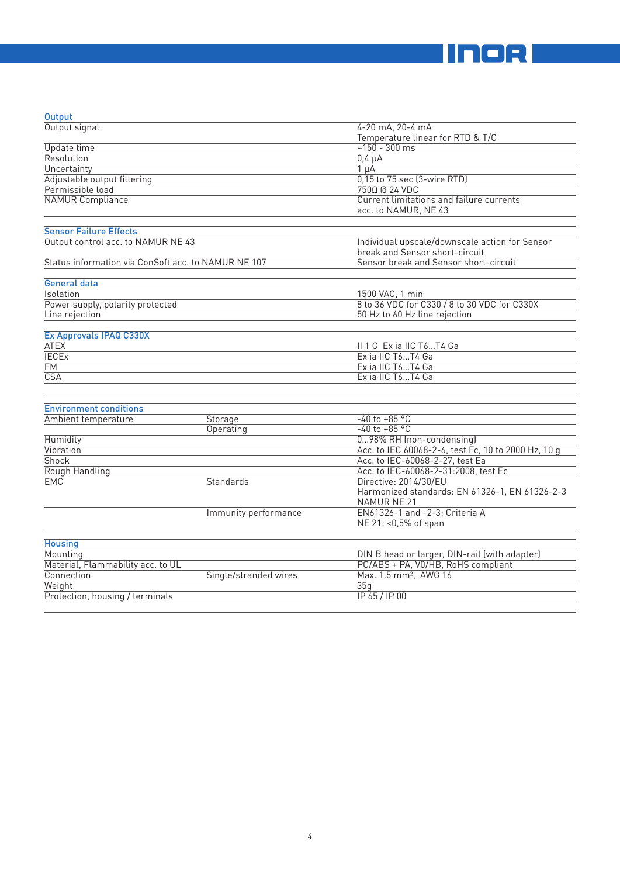

#### **Output**

| Output signal                                       |                       | 4-20 mA, 20-4 mA                                                                 |  |
|-----------------------------------------------------|-----------------------|----------------------------------------------------------------------------------|--|
|                                                     |                       | Temperature linear for RTD & T/C                                                 |  |
| <b>Update time</b>                                  |                       | $-150 - 300$ ms                                                                  |  |
| Resolution                                          |                       | $0,4 \mu A$                                                                      |  |
| <b>Uncertainty</b>                                  |                       | $1 \mu A$                                                                        |  |
| Adjustable output filtering                         |                       | 0,15 to 75 sec (3-wire RTD)                                                      |  |
| Permissible load                                    |                       | <b>750Ω @ 24 VDC</b>                                                             |  |
| <b>NAMUR Compliance</b>                             |                       | Current limitations and failure currents                                         |  |
|                                                     |                       | acc. to NAMUR, NE 43                                                             |  |
|                                                     |                       |                                                                                  |  |
| <b>Sensor Failure Effects</b>                       |                       |                                                                                  |  |
| Output control acc. to NAMUR NE 43                  |                       | Individual upscale/downscale action for Sensor<br>break and Sensor short-circuit |  |
| Status information via ConSoft acc. to NAMUR NE 107 |                       | Sensor break and Sensor short-circuit                                            |  |
|                                                     |                       |                                                                                  |  |
| <b>General data</b>                                 |                       |                                                                                  |  |
| <b>Isolation</b>                                    |                       | 1500 VAC, 1 min                                                                  |  |
| Power supply, polarity protected                    |                       | 8 to 36 VDC for C330 / 8 to 30 VDC for C330X                                     |  |
| Line rejection                                      |                       | 50 Hz to 60 Hz line rejection                                                    |  |
|                                                     |                       |                                                                                  |  |
| Ex Approvals IPAQ C330X                             |                       |                                                                                  |  |
| <b>ATEX</b>                                         |                       | II 1 G Ex ia IIC T6T4 Ga                                                         |  |
| <b>IECEx</b>                                        |                       | Ex ia IIC T6T4 Ga                                                                |  |
| $\overline{FM}$                                     |                       | Ex ia IIC T6T4 Ga                                                                |  |
| $\overline{\text{CSA}}$                             |                       | Ex ia IIC T6T4 Ga                                                                |  |
|                                                     |                       |                                                                                  |  |
| <b>Environment conditions</b>                       |                       |                                                                                  |  |
| Ambient temperature                                 | Storage               | $-40$ to $+85$ °C                                                                |  |
|                                                     | Operating             | $-40$ to $+85$ °C                                                                |  |
| Humidity                                            |                       | 098% RH (non-condensing)                                                         |  |
| Vibration                                           |                       | Acc. to IEC 60068-2-6, test Fc, 10 to 2000 Hz, 10 g                              |  |
| <b>Shock</b>                                        |                       | Acc. to IEC-60068-2-27, test Ea                                                  |  |
| Rough Handling                                      |                       | Acc. to IEC-60068-2-31:2008, test Ec                                             |  |
| <b>FMC</b>                                          | <b>Standards</b>      | Directive: 2014/30/EU                                                            |  |
|                                                     |                       | Harmonized standards: EN 61326-1, EN 61326-2-3                                   |  |
|                                                     |                       | NAMUR NE 21                                                                      |  |
|                                                     | Immunity performance  | EN61326-1 and -2-3: Criteria A                                                   |  |
|                                                     |                       | NE 21: < 0,5% of span                                                            |  |
|                                                     |                       |                                                                                  |  |
| <b>Housing</b>                                      |                       |                                                                                  |  |
| Mounting                                            |                       | DIN B head or larger, DIN-rail (with adapter)                                    |  |
| Material, Flammability acc. to UL                   |                       | PC/ABS + PA, V0/HB, RoHS compliant                                               |  |
| Connection                                          | Single/stranded wires | Max. 1.5 mm <sup>2</sup> , AWG 16                                                |  |
| Weight                                              |                       | 35q                                                                              |  |
| Protection, housing / terminals                     |                       | IP 65 / IP 00                                                                    |  |
|                                                     |                       |                                                                                  |  |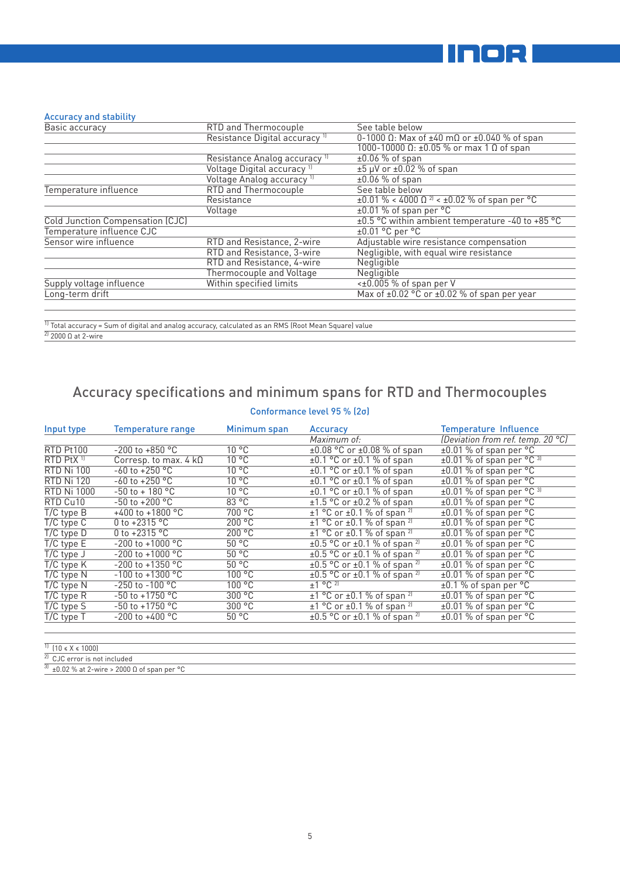

#### Accuracy and stability

| Basic accuracy                   | RTD and Thermocouple                      | See table below                                                          |
|----------------------------------|-------------------------------------------|--------------------------------------------------------------------------|
|                                  | Resistance Digital accuracy <sup>11</sup> | 0-1000 Ω: Max of $±40$ mΩ or $±0.040$ % of span                          |
|                                  |                                           | 1000-10000 Ω: ±0.05 % or max 1 Ω of span                                 |
|                                  | Resistance Analog accuracy <sup>1)</sup>  | $\pm 0.06$ % of span                                                     |
|                                  | Voltage Digital accuracy <sup>1)</sup>    | $±5 \mu V$ or $±0.02 \%$ of span                                         |
|                                  | Voltage Analog accuracy <sup>11</sup>     | $±0.06%$ of span                                                         |
| Temperature influence            | RTD and Thermocouple                      | See table below                                                          |
|                                  | Resistance                                | $\pm 0.01$ % < 4000 $\Omega$ <sup>21</sup> < $\pm 0.02$ % of span per °C |
|                                  | Voltage                                   | $\pm 0.01$ % of span per °C                                              |
| Cold Junction Compensation (CJC) |                                           | $\pm 0.5$ °C within ambient temperature -40 to +85 °C                    |
| Temperature influence CJC        |                                           | $\pm 0.01$ °C per °C                                                     |
| Sensor wire influence            | RTD and Resistance, 2-wire                | Adjustable wire resistance compensation                                  |
|                                  | RTD and Resistance, 3-wire                | Negligible, with equal wire resistance                                   |
|                                  | RTD and Resistance, 4-wire                | Negligible                                                               |
|                                  | Thermocouple and Voltage                  | Negligible                                                               |
| Supply voltage influence         | Within specified limits                   | $\lt t0.005$ % of span per V                                             |
| Long-term drift                  |                                           | Max of ±0.02 °C or ±0.02 % of span per year                              |
|                                  |                                           |                                                                          |
|                                  |                                           |                                                                          |

 $11$  Total accuracy = Sum of digital and analog accuracy, calculated as an RMS (Root Mean Square) value <sup>2)</sup> 2000 Ω at 2-wire

# Accuracy specifications and minimum spans for RTD and Thermocouples

#### Conformance level 95 % (2σ)

| Input type              | Temperature range                 | Minimum span   | Accuracy                                          | Temperature Influence                     |
|-------------------------|-----------------------------------|----------------|---------------------------------------------------|-------------------------------------------|
|                         |                                   |                | Maximum of:                                       | (Deviation from ref. temp. 20 °C)         |
| RTD Pt100               | $-200$ to $+850$ °C               | $10^{\circ}$ C | $\pm 0.08$ °C or $\pm 0.08$ % of span             | $\pm 0.01$ % of span per $\degree$ C      |
| RTD PtX <sup>11</sup>   | Corresp. to max. $4 k\Omega$      | $10^{\circ}$ C | $\pm 0.1$ °C or $\pm 0.1$ % of span               | $\pm 0.01$ % of span per °C <sup>31</sup> |
| <b>RTD Ni 100</b>       | $-60 \text{ to } +250 \text{ °C}$ | $10^{\circ}$ C | $\pm 0.1$ °C or $\pm 0.1$ % of span               | $\pm 0.01$ % of span per $\degree$ C      |
| <b>RTD Ni 120</b>       | $-60$ to $+250$ °C                | $10^{\circ}$ C | $\pm 0.1$ °C or $\pm 0.1$ % of span               | $\pm 0.01$ % of span per $\degree$ C      |
| <b>RTD Ni 1000</b>      | $-50$ to + 180 °C                 | $10^{\circ}$ C | $\pm 0.1$ °C or $\pm 0.1$ % of span               | $\pm 0.01$ % of span per °C <sup>31</sup> |
| RTD Cu10                | $-50$ to $+200$ °C                | 83 °C          | $\pm 1.5$ °C or $\pm 0.2$ % of span               | $\pm 0.01$ % of span per °C               |
| T/C type B              | +400 to +1800 $^{\circ}$ C        | 700 °C         | $\pm$ 1 °C or $\pm$ 0.1 % of span <sup>2)</sup>   | $\pm 0.01$ % of span per $\degree$ C      |
| $T/C$ type $C$          | 0 to $+2315$ °C                   | 200 °C         | $\pm$ 1 °C or $\pm$ 0.1 % of span <sup>2)</sup>   | $\pm 0.01$ % of span per $\degree$ C      |
| $\overline{T/C}$ type D | 0 to $+2315$ °C                   | 200 °C         | $\pm$ 1 °C or $\pm$ 0.1 % of span <sup>2)</sup>   | $\pm 0.01$ % of span per $\degree$ C      |
| $T/C$ type $E$          | $-200$ to $+1000$ °C              | 50 °C          | $\pm 0.5$ °C or $\pm 0.1$ % of span <sup>2)</sup> | $\pm 0.01$ % of span per $\degree$ C      |
| $T/C$ type $J$          | $-200$ to $+1000$ °C              | 50 °C          | $\pm 0.5$ °C or $\pm 0.1$ % of span <sup>2)</sup> | ±0.01 % of span per °C                    |
| T/C type K              | $-200$ to $+1350$ °C              | 50 °C          | $\pm 0.5$ °C or $\pm 0.1$ % of span <sup>2)</sup> | $\pm 0.01$ % of span per °C               |
| T/C type N              | $-100$ to $+1300$ °C              | 100 °C         | $\pm 0.5$ °C or $\pm 0.1$ % of span <sup>2)</sup> | $\pm 0.01$ % of span per $\degree$ C      |
| T/C type N              | $-250$ to $-100$ °C               | 100 °C         | $\pm$ 1 °C <sup>2]</sup>                          | $±0.1\%$ of span per $°C$                 |
| $T/C$ type $R$          | $-50$ to $+1750$ °C               | 300 °C         | $\pm$ 1 °C or $\pm$ 0.1 % of span <sup>2)</sup>   | $\pm 0.01$ % of span per $\degree$ C      |
| T/C type S              | $-50$ to $+1750$ °C               | 300 °C         | $±1 °C$ or $±0.1$ % of span <sup>2)</sup>         | $\pm 0.01$ % of span per $\degree$ C      |
| T/C type T              | $-200$ to $+400$ °C               | 50 °C          | $\pm 0.5$ °C or $\pm 0.1$ % of span <sup>21</sup> | $\pm 0.01$ % of span per $\degree$ C      |
|                         |                                   |                |                                                   |                                           |

| $11(10 \le X \le 1000)$                                 |  |
|---------------------------------------------------------|--|
| <sup>4</sup> CJC error is not included                  |  |
| <sup>31</sup> ±0.02 % at 2-wire > 2000 Ω of span per °C |  |